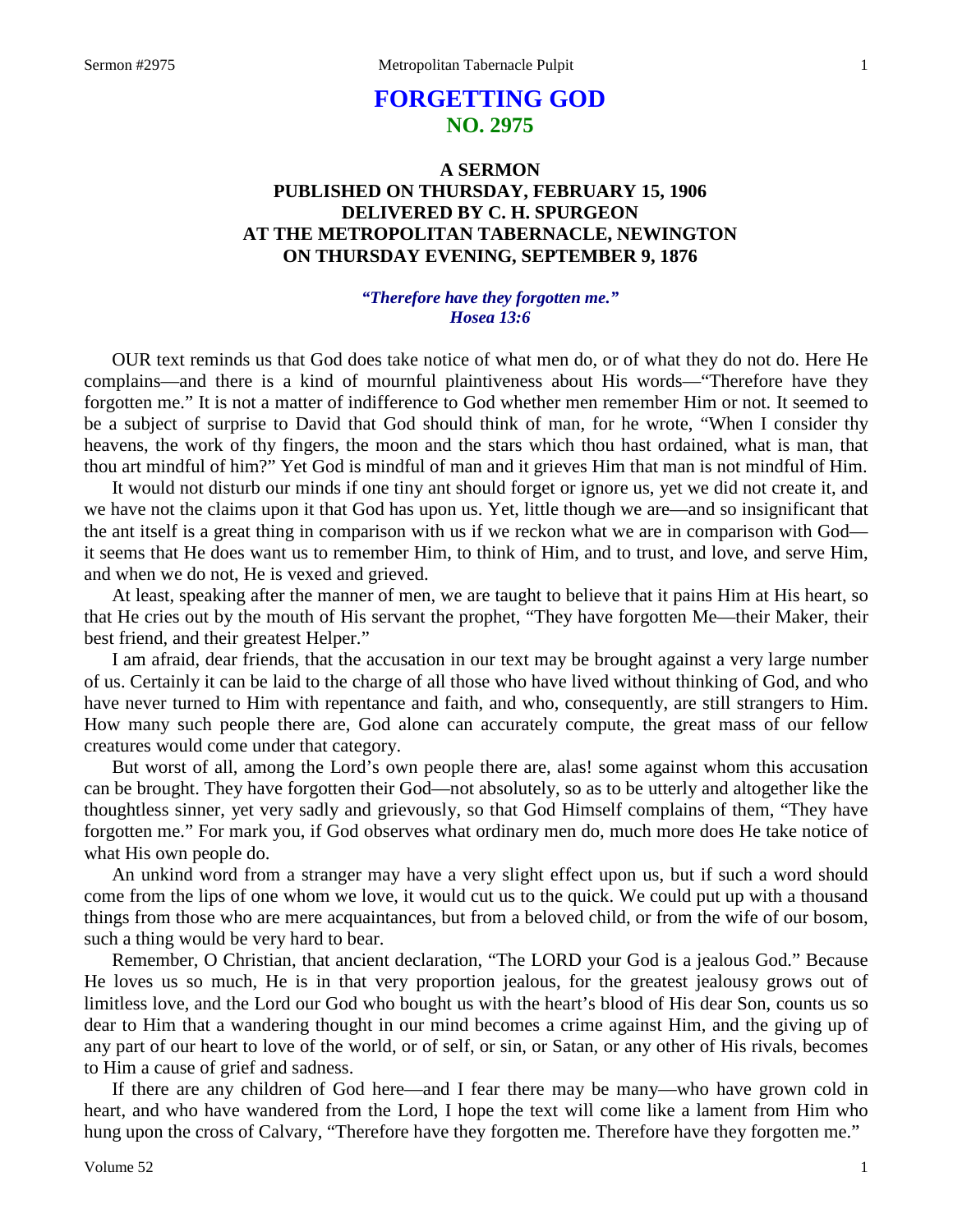# **FORGETTING GOD NO. 2975**

## **A SERMON PUBLISHED ON THURSDAY, FEBRUARY 15, 1906 DELIVERED BY C. H. SPURGEON AT THE METROPOLITAN TABERNACLE, NEWINGTON ON THURSDAY EVENING, SEPTEMBER 9, 1876**

### *"Therefore have they forgotten me." Hosea 13:6*

OUR text reminds us that God does take notice of what men do, or of what they do not do. Here He complains—and there is a kind of mournful plaintiveness about His words—"Therefore have they forgotten me." It is not a matter of indifference to God whether men remember Him or not. It seemed to be a subject of surprise to David that God should think of man, for he wrote, "When I consider thy heavens, the work of thy fingers, the moon and the stars which thou hast ordained, what is man, that thou art mindful of him?" Yet God is mindful of man and it grieves Him that man is not mindful of Him.

It would not disturb our minds if one tiny ant should forget or ignore us, yet we did not create it, and we have not the claims upon it that God has upon us. Yet, little though we are—and so insignificant that the ant itself is a great thing in comparison with us if we reckon what we are in comparison with God it seems that He does want us to remember Him, to think of Him, and to trust, and love, and serve Him, and when we do not, He is vexed and grieved.

At least, speaking after the manner of men, we are taught to believe that it pains Him at His heart, so that He cries out by the mouth of His servant the prophet, "They have forgotten Me—their Maker, their best friend, and their greatest Helper."

I am afraid, dear friends, that the accusation in our text may be brought against a very large number of us. Certainly it can be laid to the charge of all those who have lived without thinking of God, and who have never turned to Him with repentance and faith, and who, consequently, are still strangers to Him. How many such people there are, God alone can accurately compute, the great mass of our fellow creatures would come under that category.

But worst of all, among the Lord's own people there are, alas! some against whom this accusation can be brought. They have forgotten their God—not absolutely, so as to be utterly and altogether like the thoughtless sinner, yet very sadly and grievously, so that God Himself complains of them, "They have forgotten me." For mark you, if God observes what ordinary men do, much more does He take notice of what His own people do.

An unkind word from a stranger may have a very slight effect upon us, but if such a word should come from the lips of one whom we love, it would cut us to the quick. We could put up with a thousand things from those who are mere acquaintances, but from a beloved child, or from the wife of our bosom, such a thing would be very hard to bear.

Remember, O Christian, that ancient declaration, "The LORD your God is a jealous God." Because He loves us so much, He is in that very proportion jealous, for the greatest jealousy grows out of limitless love, and the Lord our God who bought us with the heart's blood of His dear Son, counts us so dear to Him that a wandering thought in our mind becomes a crime against Him, and the giving up of any part of our heart to love of the world, or of self, or sin, or Satan, or any other of His rivals, becomes to Him a cause of grief and sadness.

If there are any children of God here—and I fear there may be many—who have grown cold in heart, and who have wandered from the Lord, I hope the text will come like a lament from Him who hung upon the cross of Calvary, "Therefore have they forgotten me. Therefore have they forgotten me."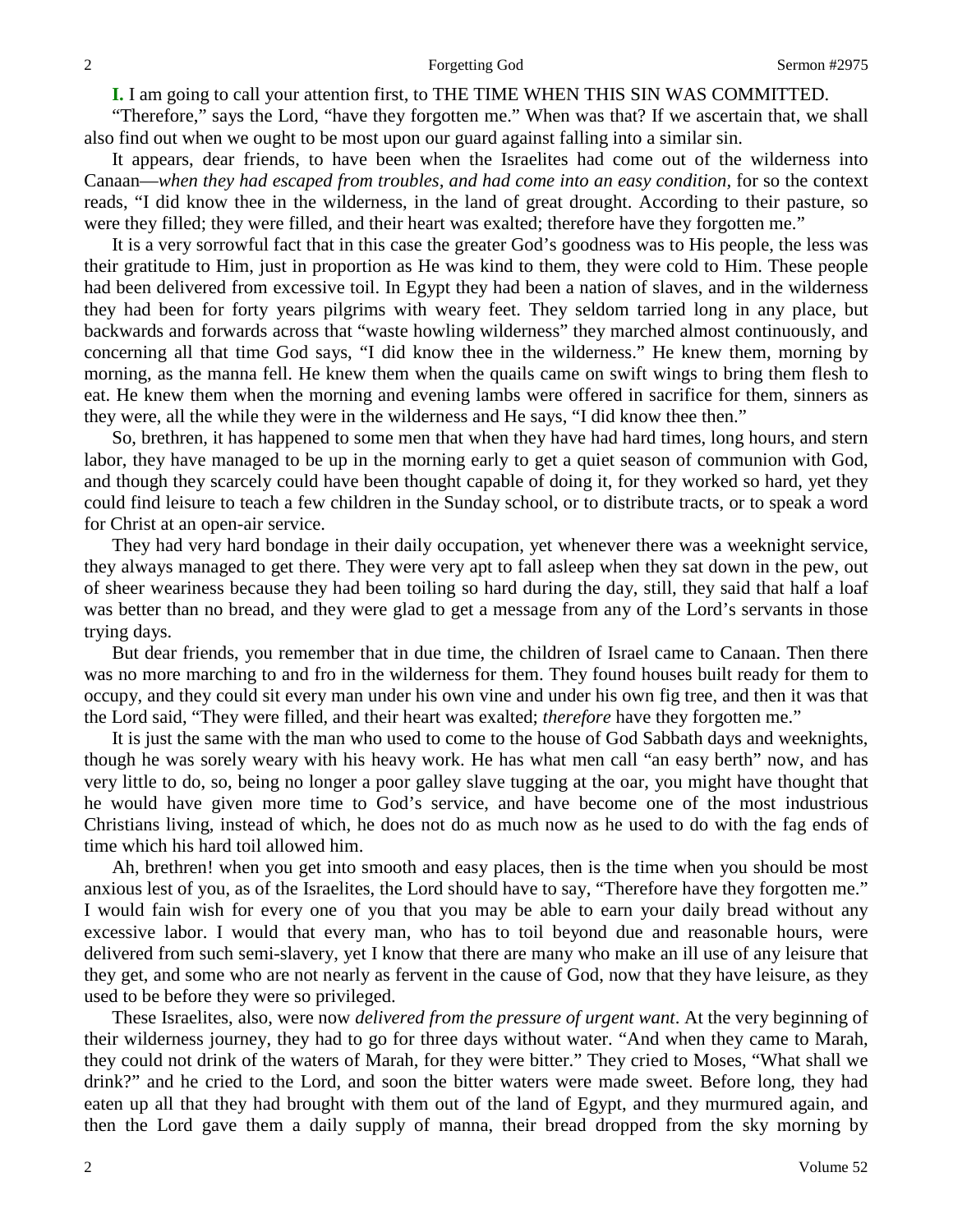**I.** I am going to call your attention first, to THE TIME WHEN THIS SIN WAS COMMITTED.

"Therefore," says the Lord, "have they forgotten me." When was that? If we ascertain that, we shall also find out when we ought to be most upon our guard against falling into a similar sin.

It appears, dear friends, to have been when the Israelites had come out of the wilderness into Canaan—*when they had escaped from troubles, and had come into an easy condition,* for so the context reads, "I did know thee in the wilderness, in the land of great drought. According to their pasture, so were they filled; they were filled, and their heart was exalted; therefore have they forgotten me."

It is a very sorrowful fact that in this case the greater God's goodness was to His people, the less was their gratitude to Him, just in proportion as He was kind to them, they were cold to Him. These people had been delivered from excessive toil. In Egypt they had been a nation of slaves, and in the wilderness they had been for forty years pilgrims with weary feet. They seldom tarried long in any place, but backwards and forwards across that "waste howling wilderness" they marched almost continuously, and concerning all that time God says, "I did know thee in the wilderness." He knew them, morning by morning, as the manna fell. He knew them when the quails came on swift wings to bring them flesh to eat. He knew them when the morning and evening lambs were offered in sacrifice for them, sinners as they were, all the while they were in the wilderness and He says, "I did know thee then."

So, brethren, it has happened to some men that when they have had hard times, long hours, and stern labor, they have managed to be up in the morning early to get a quiet season of communion with God, and though they scarcely could have been thought capable of doing it, for they worked so hard, yet they could find leisure to teach a few children in the Sunday school, or to distribute tracts, or to speak a word for Christ at an open-air service.

They had very hard bondage in their daily occupation, yet whenever there was a weeknight service, they always managed to get there. They were very apt to fall asleep when they sat down in the pew, out of sheer weariness because they had been toiling so hard during the day, still, they said that half a loaf was better than no bread, and they were glad to get a message from any of the Lord's servants in those trying days.

But dear friends, you remember that in due time, the children of Israel came to Canaan. Then there was no more marching to and fro in the wilderness for them. They found houses built ready for them to occupy, and they could sit every man under his own vine and under his own fig tree, and then it was that the Lord said, "They were filled, and their heart was exalted; *therefore* have they forgotten me."

It is just the same with the man who used to come to the house of God Sabbath days and weeknights, though he was sorely weary with his heavy work. He has what men call "an easy berth" now, and has very little to do, so, being no longer a poor galley slave tugging at the oar, you might have thought that he would have given more time to God's service, and have become one of the most industrious Christians living, instead of which, he does not do as much now as he used to do with the fag ends of time which his hard toil allowed him.

Ah, brethren! when you get into smooth and easy places, then is the time when you should be most anxious lest of you, as of the Israelites, the Lord should have to say, "Therefore have they forgotten me." I would fain wish for every one of you that you may be able to earn your daily bread without any excessive labor. I would that every man, who has to toil beyond due and reasonable hours, were delivered from such semi-slavery, yet I know that there are many who make an ill use of any leisure that they get, and some who are not nearly as fervent in the cause of God, now that they have leisure, as they used to be before they were so privileged.

These Israelites, also, were now *delivered from the pressure of urgent want*. At the very beginning of their wilderness journey, they had to go for three days without water. "And when they came to Marah, they could not drink of the waters of Marah, for they were bitter." They cried to Moses, "What shall we drink?" and he cried to the Lord, and soon the bitter waters were made sweet. Before long, they had eaten up all that they had brought with them out of the land of Egypt, and they murmured again, and then the Lord gave them a daily supply of manna, their bread dropped from the sky morning by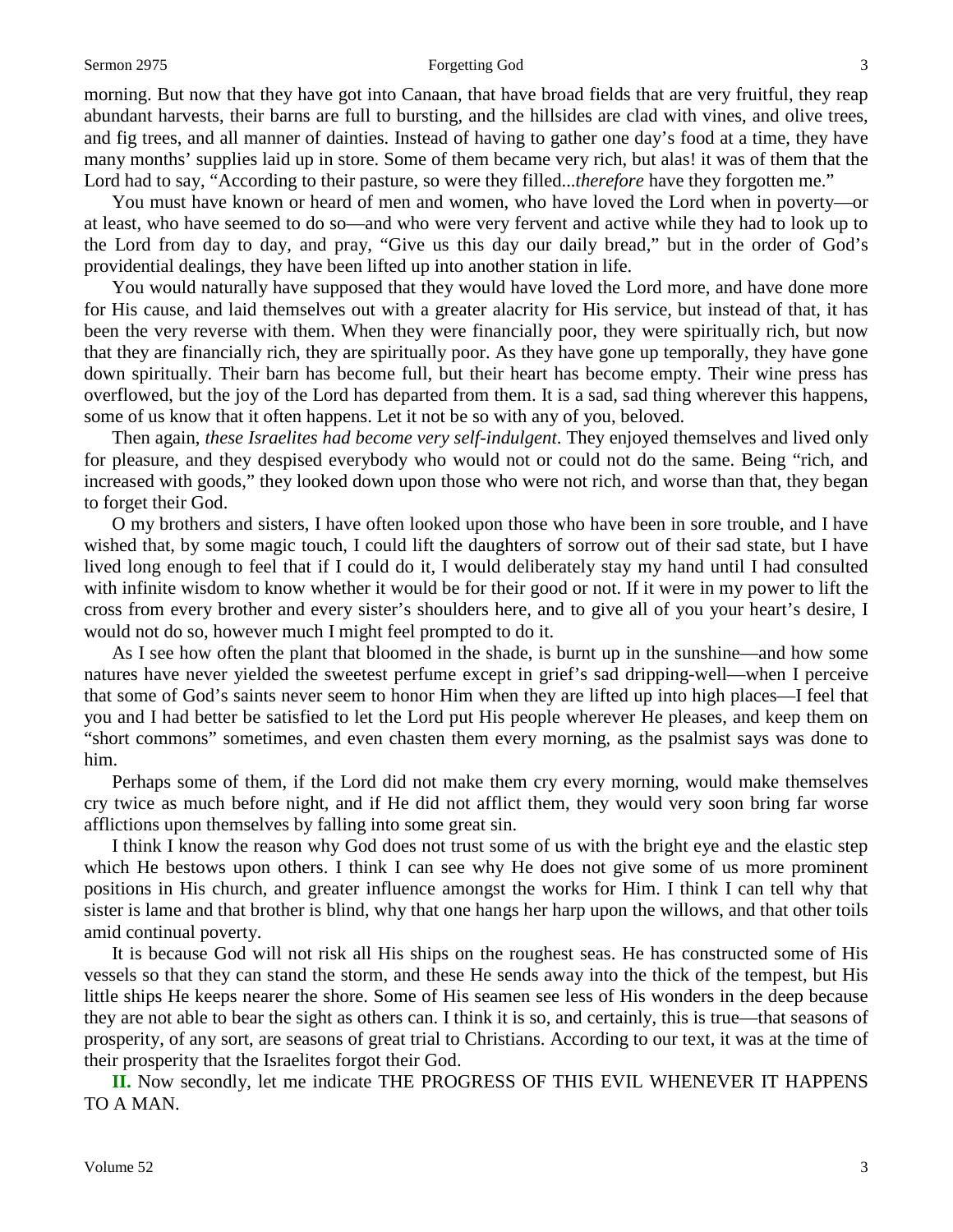#### Sermon 2975 **Sermon 2975** Forgetting God 3

morning. But now that they have got into Canaan, that have broad fields that are very fruitful, they reap abundant harvests, their barns are full to bursting, and the hillsides are clad with vines, and olive trees, and fig trees, and all manner of dainties. Instead of having to gather one day's food at a time, they have many months' supplies laid up in store. Some of them became very rich, but alas! it was of them that the Lord had to say, "According to their pasture, so were they filled...*therefore* have they forgotten me."

You must have known or heard of men and women, who have loved the Lord when in poverty—or at least, who have seemed to do so—and who were very fervent and active while they had to look up to the Lord from day to day, and pray, "Give us this day our daily bread," but in the order of God's providential dealings, they have been lifted up into another station in life.

You would naturally have supposed that they would have loved the Lord more, and have done more for His cause, and laid themselves out with a greater alacrity for His service, but instead of that, it has been the very reverse with them. When they were financially poor, they were spiritually rich, but now that they are financially rich, they are spiritually poor. As they have gone up temporally, they have gone down spiritually. Their barn has become full, but their heart has become empty. Their wine press has overflowed, but the joy of the Lord has departed from them. It is a sad, sad thing wherever this happens, some of us know that it often happens. Let it not be so with any of you, beloved.

Then again, *these Israelites had become very self-indulgent*. They enjoyed themselves and lived only for pleasure, and they despised everybody who would not or could not do the same. Being "rich, and increased with goods," they looked down upon those who were not rich, and worse than that, they began to forget their God.

O my brothers and sisters, I have often looked upon those who have been in sore trouble, and I have wished that, by some magic touch, I could lift the daughters of sorrow out of their sad state, but I have lived long enough to feel that if I could do it, I would deliberately stay my hand until I had consulted with infinite wisdom to know whether it would be for their good or not. If it were in my power to lift the cross from every brother and every sister's shoulders here, and to give all of you your heart's desire, I would not do so, however much I might feel prompted to do it.

As I see how often the plant that bloomed in the shade, is burnt up in the sunshine—and how some natures have never yielded the sweetest perfume except in grief's sad dripping-well—when I perceive that some of God's saints never seem to honor Him when they are lifted up into high places—I feel that you and I had better be satisfied to let the Lord put His people wherever He pleases, and keep them on "short commons" sometimes, and even chasten them every morning, as the psalmist says was done to him.

Perhaps some of them, if the Lord did not make them cry every morning, would make themselves cry twice as much before night, and if He did not afflict them, they would very soon bring far worse afflictions upon themselves by falling into some great sin.

I think I know the reason why God does not trust some of us with the bright eye and the elastic step which He bestows upon others. I think I can see why He does not give some of us more prominent positions in His church, and greater influence amongst the works for Him. I think I can tell why that sister is lame and that brother is blind, why that one hangs her harp upon the willows, and that other toils amid continual poverty.

It is because God will not risk all His ships on the roughest seas. He has constructed some of His vessels so that they can stand the storm, and these He sends away into the thick of the tempest, but His little ships He keeps nearer the shore. Some of His seamen see less of His wonders in the deep because they are not able to bear the sight as others can. I think it is so, and certainly, this is true—that seasons of prosperity, of any sort, are seasons of great trial to Christians. According to our text, it was at the time of their prosperity that the Israelites forgot their God.

**II.** Now secondly, let me indicate THE PROGRESS OF THIS EVIL WHENEVER IT HAPPENS TO A MAN.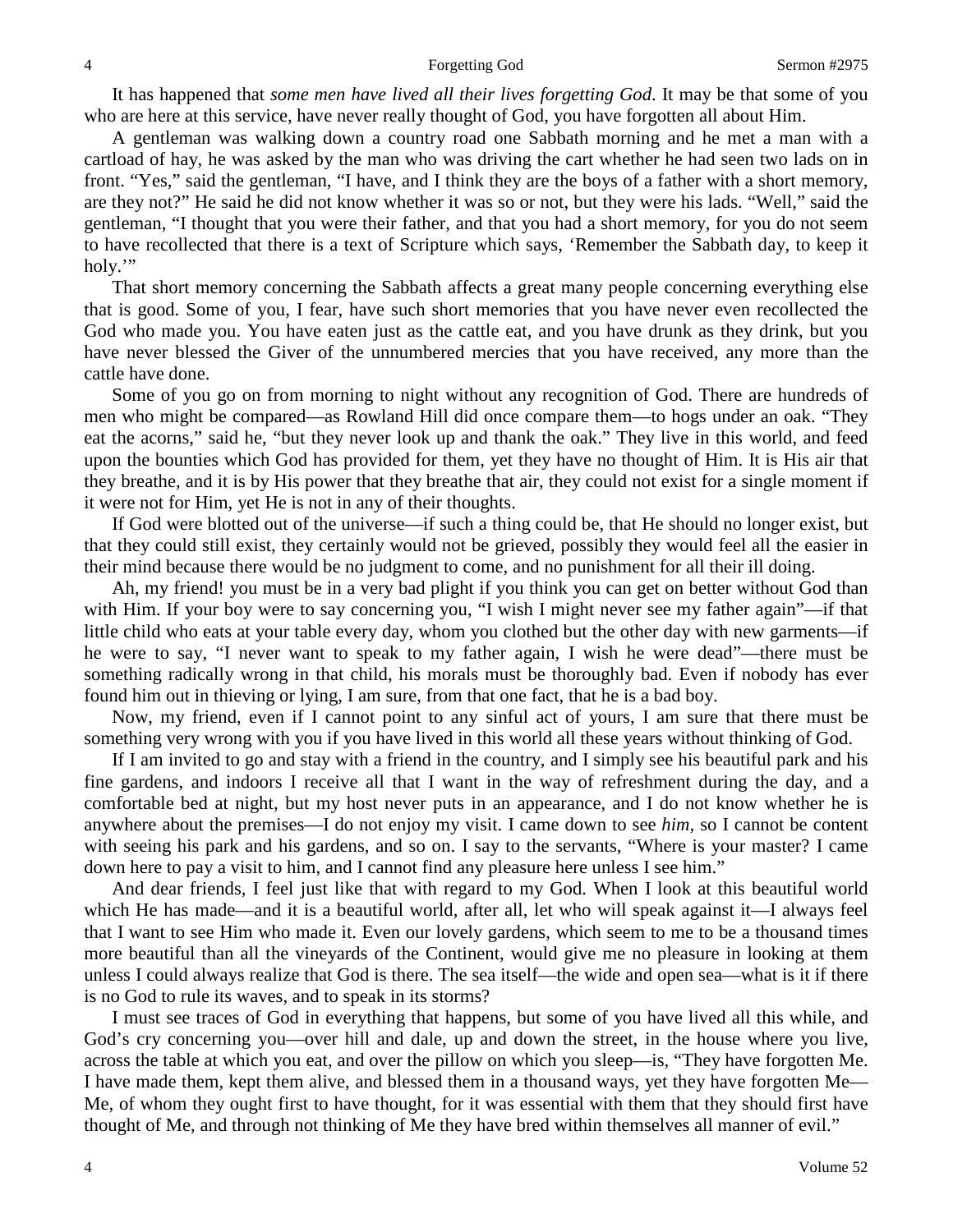It has happened that *some men have lived all their lives forgetting God*. It may be that some of you who are here at this service, have never really thought of God, you have forgotten all about Him.

A gentleman was walking down a country road one Sabbath morning and he met a man with a cartload of hay, he was asked by the man who was driving the cart whether he had seen two lads on in front. "Yes," said the gentleman, "I have, and I think they are the boys of a father with a short memory, are they not?" He said he did not know whether it was so or not, but they were his lads. "Well," said the gentleman, "I thought that you were their father, and that you had a short memory, for you do not seem to have recollected that there is a text of Scripture which says, 'Remember the Sabbath day, to keep it holy."

That short memory concerning the Sabbath affects a great many people concerning everything else that is good. Some of you, I fear, have such short memories that you have never even recollected the God who made you. You have eaten just as the cattle eat, and you have drunk as they drink, but you have never blessed the Giver of the unnumbered mercies that you have received, any more than the cattle have done.

Some of you go on from morning to night without any recognition of God. There are hundreds of men who might be compared—as Rowland Hill did once compare them—to hogs under an oak. "They eat the acorns," said he, "but they never look up and thank the oak." They live in this world, and feed upon the bounties which God has provided for them, yet they have no thought of Him. It is His air that they breathe, and it is by His power that they breathe that air, they could not exist for a single moment if it were not for Him, yet He is not in any of their thoughts.

If God were blotted out of the universe—if such a thing could be, that He should no longer exist, but that they could still exist, they certainly would not be grieved, possibly they would feel all the easier in their mind because there would be no judgment to come, and no punishment for all their ill doing.

Ah, my friend! you must be in a very bad plight if you think you can get on better without God than with Him. If your boy were to say concerning you, "I wish I might never see my father again"—if that little child who eats at your table every day, whom you clothed but the other day with new garments—if he were to say, "I never want to speak to my father again, I wish he were dead"—there must be something radically wrong in that child, his morals must be thoroughly bad. Even if nobody has ever found him out in thieving or lying, I am sure, from that one fact, that he is a bad boy.

Now, my friend, even if I cannot point to any sinful act of yours, I am sure that there must be something very wrong with you if you have lived in this world all these years without thinking of God.

If I am invited to go and stay with a friend in the country, and I simply see his beautiful park and his fine gardens, and indoors I receive all that I want in the way of refreshment during the day, and a comfortable bed at night, but my host never puts in an appearance, and I do not know whether he is anywhere about the premises—I do not enjoy my visit. I came down to see *him,* so I cannot be content with seeing his park and his gardens, and so on. I say to the servants, "Where is your master? I came down here to pay a visit to him, and I cannot find any pleasure here unless I see him."

And dear friends, I feel just like that with regard to my God. When I look at this beautiful world which He has made—and it is a beautiful world, after all, let who will speak against it—I always feel that I want to see Him who made it. Even our lovely gardens, which seem to me to be a thousand times more beautiful than all the vineyards of the Continent, would give me no pleasure in looking at them unless I could always realize that God is there. The sea itself—the wide and open sea—what is it if there is no God to rule its waves, and to speak in its storms?

I must see traces of God in everything that happens, but some of you have lived all this while, and God's cry concerning you—over hill and dale, up and down the street, in the house where you live, across the table at which you eat, and over the pillow on which you sleep—is, "They have forgotten Me. I have made them, kept them alive, and blessed them in a thousand ways, yet they have forgotten Me— Me, of whom they ought first to have thought, for it was essential with them that they should first have thought of Me, and through not thinking of Me they have bred within themselves all manner of evil."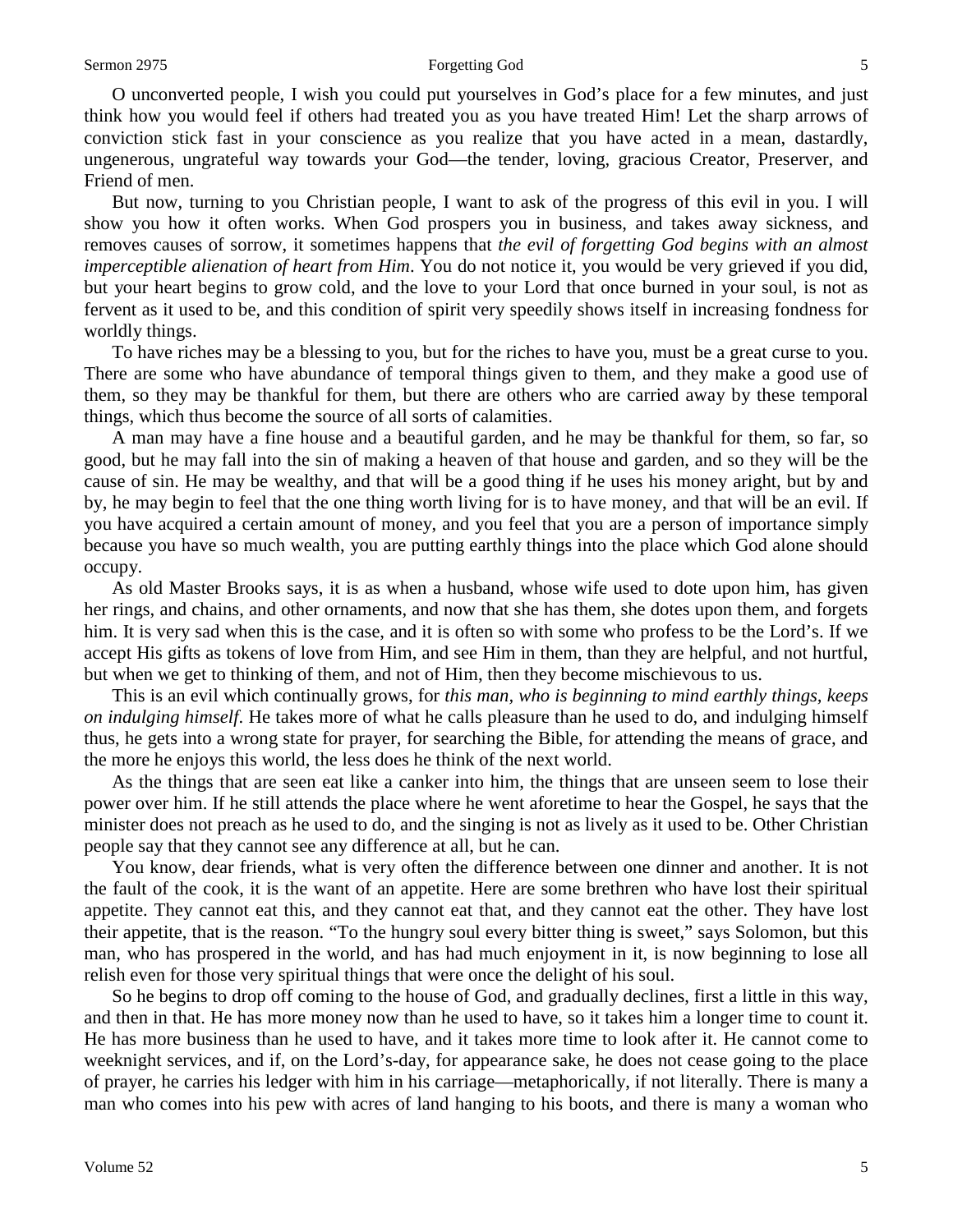#### Sermon 2975 **Forgetting God** 5

O unconverted people, I wish you could put yourselves in God's place for a few minutes, and just think how you would feel if others had treated you as you have treated Him! Let the sharp arrows of conviction stick fast in your conscience as you realize that you have acted in a mean, dastardly, ungenerous, ungrateful way towards your God—the tender, loving, gracious Creator, Preserver, and Friend of men.

But now, turning to you Christian people, I want to ask of the progress of this evil in you. I will show you how it often works. When God prospers you in business, and takes away sickness, and removes causes of sorrow, it sometimes happens that *the evil of forgetting God begins with an almost imperceptible alienation of heart from Him*. You do not notice it, you would be very grieved if you did, but your heart begins to grow cold, and the love to your Lord that once burned in your soul, is not as fervent as it used to be, and this condition of spirit very speedily shows itself in increasing fondness for worldly things.

To have riches may be a blessing to you, but for the riches to have you, must be a great curse to you. There are some who have abundance of temporal things given to them, and they make a good use of them, so they may be thankful for them, but there are others who are carried away by these temporal things, which thus become the source of all sorts of calamities.

A man may have a fine house and a beautiful garden, and he may be thankful for them, so far, so good, but he may fall into the sin of making a heaven of that house and garden, and so they will be the cause of sin. He may be wealthy, and that will be a good thing if he uses his money aright, but by and by, he may begin to feel that the one thing worth living for is to have money, and that will be an evil. If you have acquired a certain amount of money, and you feel that you are a person of importance simply because you have so much wealth, you are putting earthly things into the place which God alone should occupy.

As old Master Brooks says, it is as when a husband, whose wife used to dote upon him, has given her rings, and chains, and other ornaments, and now that she has them, she dotes upon them, and forgets him. It is very sad when this is the case, and it is often so with some who profess to be the Lord's. If we accept His gifts as tokens of love from Him, and see Him in them, than they are helpful, and not hurtful, but when we get to thinking of them, and not of Him, then they become mischievous to us.

This is an evil which continually grows, for *this man, who is beginning to mind earthly things, keeps on indulging himself*. He takes more of what he calls pleasure than he used to do, and indulging himself thus, he gets into a wrong state for prayer, for searching the Bible, for attending the means of grace, and the more he enjoys this world, the less does he think of the next world.

As the things that are seen eat like a canker into him, the things that are unseen seem to lose their power over him. If he still attends the place where he went aforetime to hear the Gospel, he says that the minister does not preach as he used to do, and the singing is not as lively as it used to be. Other Christian people say that they cannot see any difference at all, but he can.

You know, dear friends, what is very often the difference between one dinner and another. It is not the fault of the cook, it is the want of an appetite. Here are some brethren who have lost their spiritual appetite. They cannot eat this, and they cannot eat that, and they cannot eat the other. They have lost their appetite, that is the reason. "To the hungry soul every bitter thing is sweet," says Solomon, but this man, who has prospered in the world, and has had much enjoyment in it, is now beginning to lose all relish even for those very spiritual things that were once the delight of his soul.

So he begins to drop off coming to the house of God, and gradually declines, first a little in this way, and then in that. He has more money now than he used to have, so it takes him a longer time to count it. He has more business than he used to have, and it takes more time to look after it. He cannot come to weeknight services, and if, on the Lord's-day, for appearance sake, he does not cease going to the place of prayer, he carries his ledger with him in his carriage—metaphorically, if not literally. There is many a man who comes into his pew with acres of land hanging to his boots, and there is many a woman who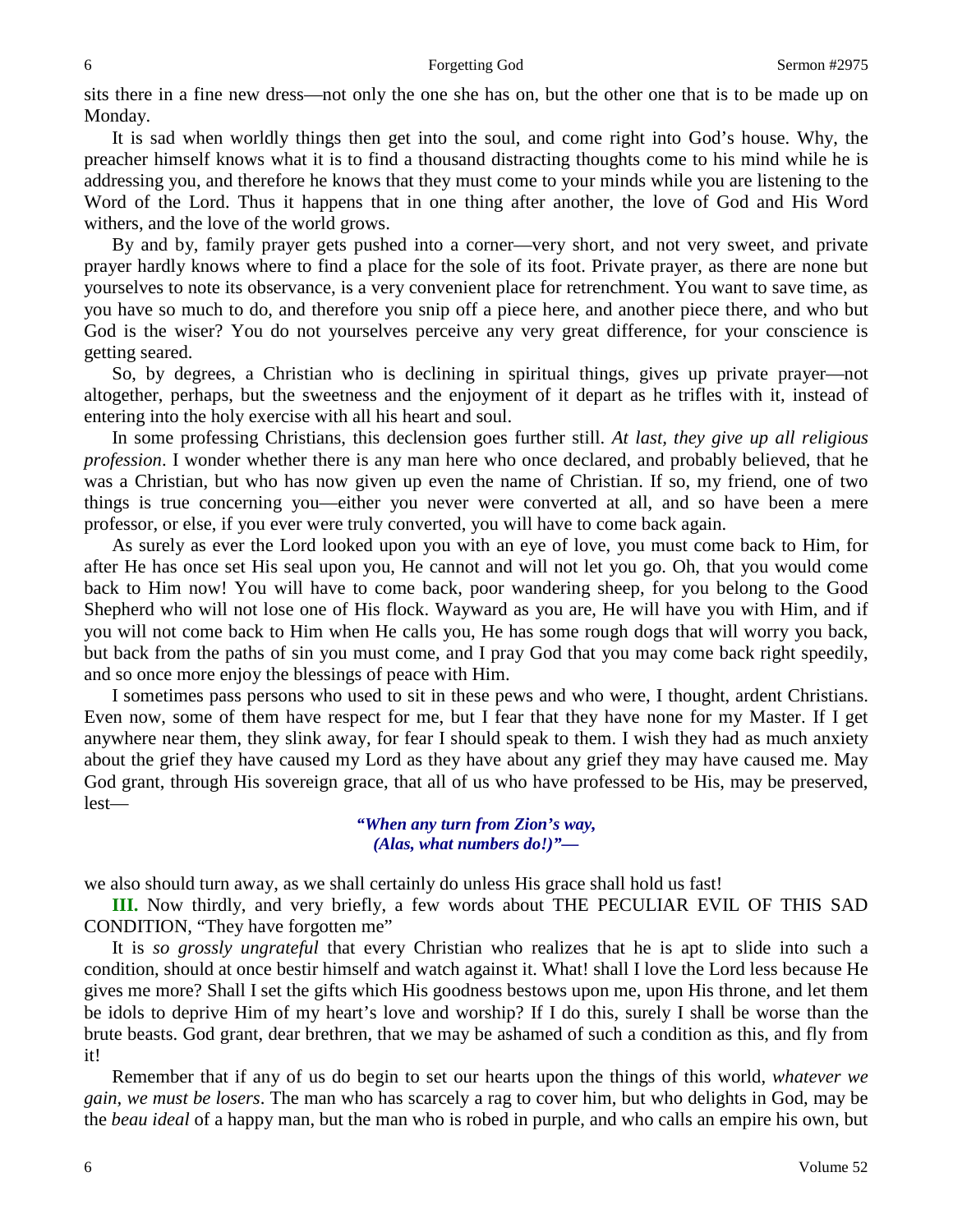sits there in a fine new dress—not only the one she has on, but the other one that is to be made up on Monday.

It is sad when worldly things then get into the soul, and come right into God's house. Why, the preacher himself knows what it is to find a thousand distracting thoughts come to his mind while he is addressing you, and therefore he knows that they must come to your minds while you are listening to the Word of the Lord. Thus it happens that in one thing after another, the love of God and His Word withers, and the love of the world grows.

By and by, family prayer gets pushed into a corner—very short, and not very sweet, and private prayer hardly knows where to find a place for the sole of its foot. Private prayer, as there are none but yourselves to note its observance, is a very convenient place for retrenchment. You want to save time, as you have so much to do, and therefore you snip off a piece here, and another piece there, and who but God is the wiser? You do not yourselves perceive any very great difference, for your conscience is getting seared.

So, by degrees, a Christian who is declining in spiritual things, gives up private prayer—not altogether, perhaps, but the sweetness and the enjoyment of it depart as he trifles with it, instead of entering into the holy exercise with all his heart and soul.

In some professing Christians, this declension goes further still. *At last, they give up all religious profession*. I wonder whether there is any man here who once declared, and probably believed, that he was a Christian, but who has now given up even the name of Christian. If so, my friend, one of two things is true concerning you—either you never were converted at all, and so have been a mere professor, or else, if you ever were truly converted, you will have to come back again.

As surely as ever the Lord looked upon you with an eye of love, you must come back to Him, for after He has once set His seal upon you, He cannot and will not let you go. Oh, that you would come back to Him now! You will have to come back, poor wandering sheep, for you belong to the Good Shepherd who will not lose one of His flock. Wayward as you are, He will have you with Him, and if you will not come back to Him when He calls you, He has some rough dogs that will worry you back, but back from the paths of sin you must come, and I pray God that you may come back right speedily, and so once more enjoy the blessings of peace with Him.

I sometimes pass persons who used to sit in these pews and who were, I thought, ardent Christians. Even now, some of them have respect for me, but I fear that they have none for my Master. If I get anywhere near them, they slink away, for fear I should speak to them. I wish they had as much anxiety about the grief they have caused my Lord as they have about any grief they may have caused me. May God grant, through His sovereign grace, that all of us who have professed to be His, may be preserved, lest—

> *"When any turn from Zion's way, (Alas, what numbers do!)"—*

we also should turn away, as we shall certainly do unless His grace shall hold us fast!

**III.** Now thirdly, and very briefly, a few words about THE PECULIAR EVIL OF THIS SAD CONDITION, "They have forgotten me"

It is *so grossly ungrateful* that every Christian who realizes that he is apt to slide into such a condition, should at once bestir himself and watch against it. What! shall I love the Lord less because He gives me more? Shall I set the gifts which His goodness bestows upon me, upon His throne, and let them be idols to deprive Him of my heart's love and worship? If I do this, surely I shall be worse than the brute beasts. God grant, dear brethren, that we may be ashamed of such a condition as this, and fly from it!

Remember that if any of us do begin to set our hearts upon the things of this world, *whatever we gain, we must be losers*. The man who has scarcely a rag to cover him, but who delights in God, may be the *beau ideal* of a happy man, but the man who is robed in purple, and who calls an empire his own, but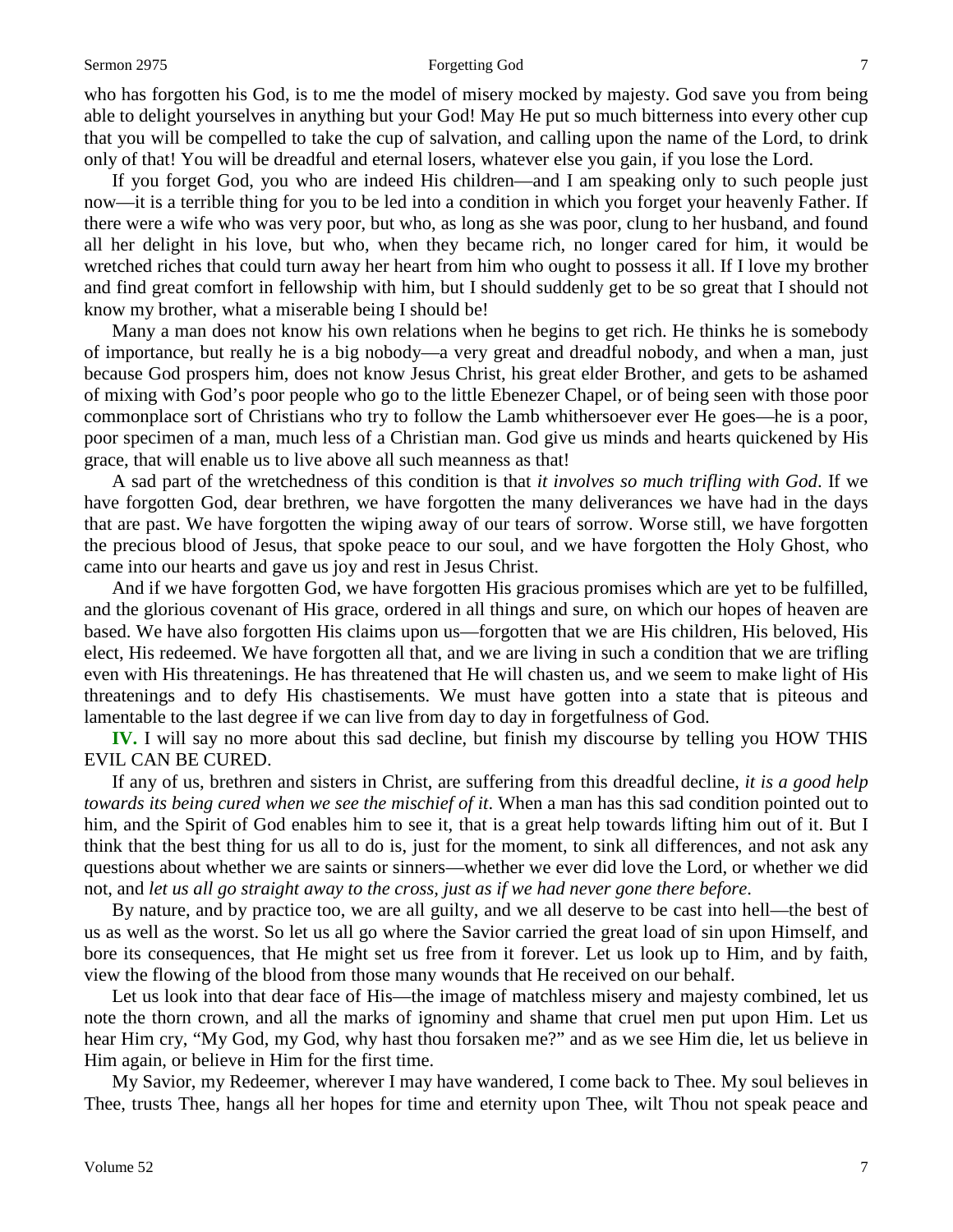#### Sermon 2975 **Forgetting God** 7

who has forgotten his God, is to me the model of misery mocked by majesty. God save you from being able to delight yourselves in anything but your God! May He put so much bitterness into every other cup that you will be compelled to take the cup of salvation, and calling upon the name of the Lord, to drink only of that! You will be dreadful and eternal losers, whatever else you gain, if you lose the Lord.

If you forget God, you who are indeed His children—and I am speaking only to such people just now—it is a terrible thing for you to be led into a condition in which you forget your heavenly Father. If there were a wife who was very poor, but who, as long as she was poor, clung to her husband, and found all her delight in his love, but who, when they became rich, no longer cared for him, it would be wretched riches that could turn away her heart from him who ought to possess it all. If I love my brother and find great comfort in fellowship with him, but I should suddenly get to be so great that I should not know my brother, what a miserable being I should be!

Many a man does not know his own relations when he begins to get rich. He thinks he is somebody of importance, but really he is a big nobody—a very great and dreadful nobody, and when a man, just because God prospers him, does not know Jesus Christ, his great elder Brother, and gets to be ashamed of mixing with God's poor people who go to the little Ebenezer Chapel, or of being seen with those poor commonplace sort of Christians who try to follow the Lamb whithersoever ever He goes—he is a poor, poor specimen of a man, much less of a Christian man. God give us minds and hearts quickened by His grace, that will enable us to live above all such meanness as that!

A sad part of the wretchedness of this condition is that *it involves so much trifling with God*. If we have forgotten God, dear brethren, we have forgotten the many deliverances we have had in the days that are past. We have forgotten the wiping away of our tears of sorrow. Worse still, we have forgotten the precious blood of Jesus, that spoke peace to our soul, and we have forgotten the Holy Ghost, who came into our hearts and gave us joy and rest in Jesus Christ.

And if we have forgotten God, we have forgotten His gracious promises which are yet to be fulfilled, and the glorious covenant of His grace, ordered in all things and sure, on which our hopes of heaven are based. We have also forgotten His claims upon us—forgotten that we are His children, His beloved, His elect, His redeemed. We have forgotten all that, and we are living in such a condition that we are trifling even with His threatenings. He has threatened that He will chasten us, and we seem to make light of His threatenings and to defy His chastisements. We must have gotten into a state that is piteous and lamentable to the last degree if we can live from day to day in forgetfulness of God.

**IV.** I will say no more about this sad decline, but finish my discourse by telling you HOW THIS EVIL CAN BE CURED.

If any of us, brethren and sisters in Christ, are suffering from this dreadful decline, *it is a good help towards its being cured when we see the mischief of it*. When a man has this sad condition pointed out to him, and the Spirit of God enables him to see it, that is a great help towards lifting him out of it. But I think that the best thing for us all to do is, just for the moment, to sink all differences, and not ask any questions about whether we are saints or sinners—whether we ever did love the Lord, or whether we did not, and *let us all go straight away to the cross, just as if we had never gone there before*.

By nature, and by practice too, we are all guilty, and we all deserve to be cast into hell—the best of us as well as the worst. So let us all go where the Savior carried the great load of sin upon Himself, and bore its consequences, that He might set us free from it forever. Let us look up to Him, and by faith, view the flowing of the blood from those many wounds that He received on our behalf.

Let us look into that dear face of His—the image of matchless misery and majesty combined, let us note the thorn crown, and all the marks of ignominy and shame that cruel men put upon Him. Let us hear Him cry, "My God, my God, why hast thou forsaken me?" and as we see Him die, let us believe in Him again, or believe in Him for the first time.

My Savior, my Redeemer, wherever I may have wandered, I come back to Thee. My soul believes in Thee, trusts Thee, hangs all her hopes for time and eternity upon Thee, wilt Thou not speak peace and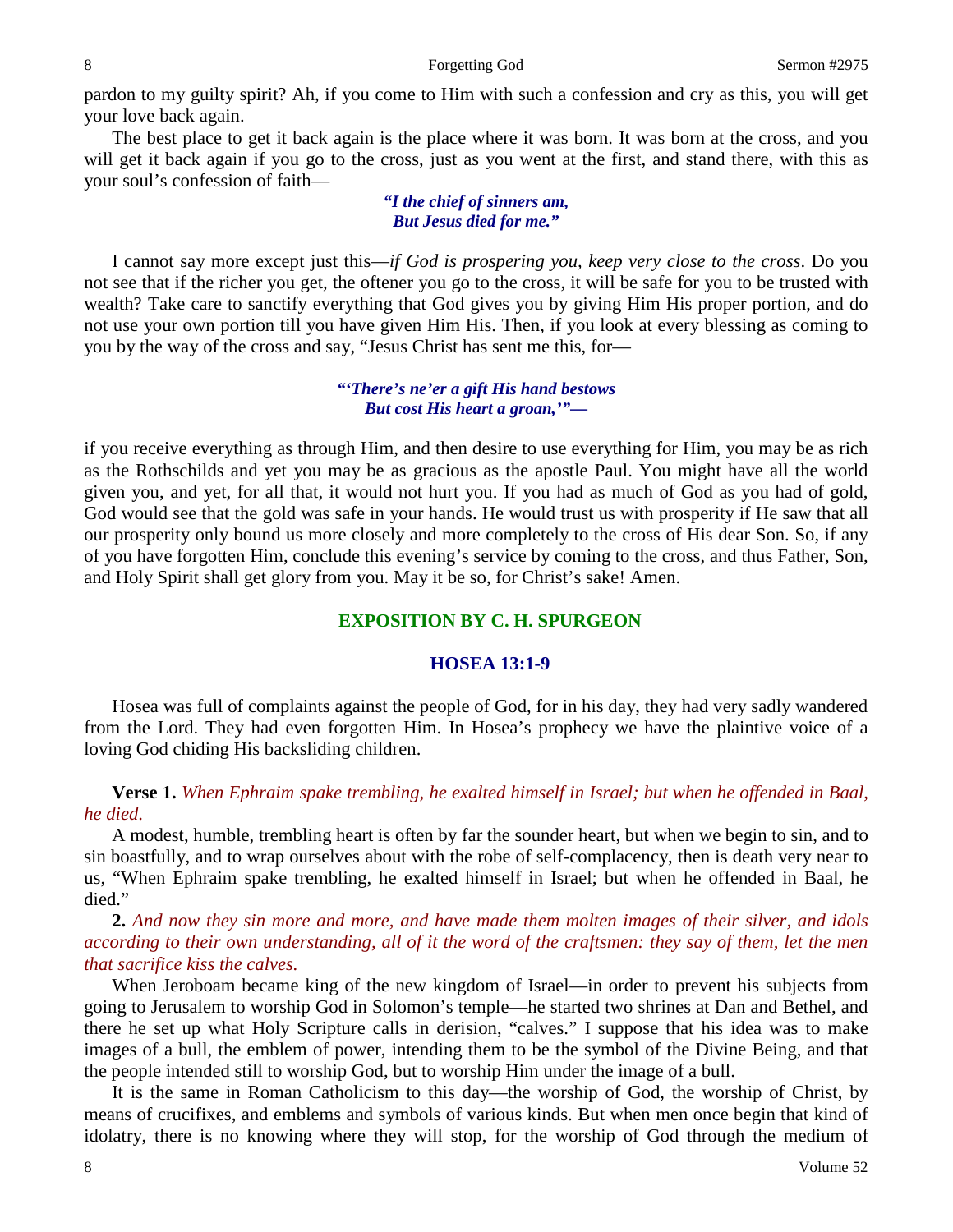pardon to my guilty spirit? Ah, if you come to Him with such a confession and cry as this, you will get your love back again.

The best place to get it back again is the place where it was born. It was born at the cross, and you will get it back again if you go to the cross, just as you went at the first, and stand there, with this as your soul's confession of faith—

### *"I the chief of sinners am, But Jesus died for me."*

I cannot say more except just this—*if God is prospering you, keep very close to the cross*. Do you not see that if the richer you get, the oftener you go to the cross, it will be safe for you to be trusted with wealth? Take care to sanctify everything that God gives you by giving Him His proper portion, and do not use your own portion till you have given Him His. Then, if you look at every blessing as coming to you by the way of the cross and say, "Jesus Christ has sent me this, for—

### *"'There's ne'er a gift His hand bestows But cost His heart a groan,'"—*

if you receive everything as through Him, and then desire to use everything for Him, you may be as rich as the Rothschilds and yet you may be as gracious as the apostle Paul. You might have all the world given you, and yet, for all that, it would not hurt you. If you had as much of God as you had of gold, God would see that the gold was safe in your hands. He would trust us with prosperity if He saw that all our prosperity only bound us more closely and more completely to the cross of His dear Son. So, if any of you have forgotten Him, conclude this evening's service by coming to the cross, and thus Father, Son, and Holy Spirit shall get glory from you. May it be so, for Christ's sake! Amen.

## **EXPOSITION BY C. H. SPURGEON**

## **HOSEA 13:1-9**

Hosea was full of complaints against the people of God, for in his day, they had very sadly wandered from the Lord. They had even forgotten Him. In Hosea's prophecy we have the plaintive voice of a loving God chiding His backsliding children.

## **Verse 1.** *When Ephraim spake trembling, he exalted himself in Israel; but when he offended in Baal, he died*.

A modest, humble, trembling heart is often by far the sounder heart, but when we begin to sin, and to sin boastfully, and to wrap ourselves about with the robe of self-complacency, then is death very near to us, "When Ephraim spake trembling, he exalted himself in Israel; but when he offended in Baal, he died."

**2.** *And now they sin more and more, and have made them molten images of their silver, and idols according to their own understanding, all of it the word of the craftsmen: they say of them, let the men that sacrifice kiss the calves.*

When Jeroboam became king of the new kingdom of Israel—in order to prevent his subjects from going to Jerusalem to worship God in Solomon's temple—he started two shrines at Dan and Bethel, and there he set up what Holy Scripture calls in derision, "calves." I suppose that his idea was to make images of a bull, the emblem of power, intending them to be the symbol of the Divine Being, and that the people intended still to worship God, but to worship Him under the image of a bull.

It is the same in Roman Catholicism to this day—the worship of God, the worship of Christ, by means of crucifixes, and emblems and symbols of various kinds. But when men once begin that kind of idolatry, there is no knowing where they will stop, for the worship of God through the medium of